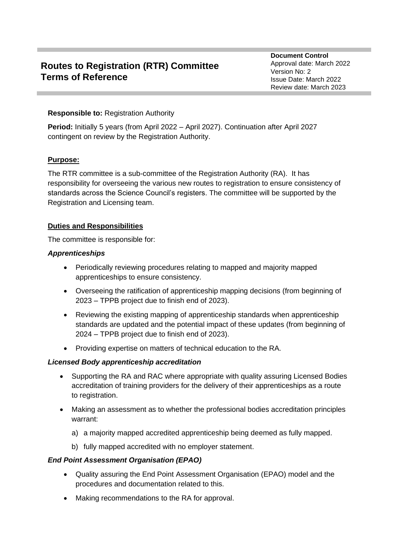# **Routes to Registration (RTR) Committee Terms of Reference**

**Document Control** Approval date: March 2022 Version No: 2 Issue Date: March 2022 Review date: March 2023

## **Responsible to:** Registration Authority

**Period:** Initially 5 years (from April 2022 – April 2027). Continuation after April 2027 contingent on review by the Registration Authority.

# **Purpose:**

The RTR committee is a sub-committee of the Registration Authority (RA). It has responsibility for overseeing the various new routes to registration to ensure consistency of standards across the Science Council's registers. The committee will be supported by the Registration and Licensing team.

## **Duties and Responsibilities**

The committee is responsible for:

## *Apprenticeships*

- Periodically reviewing procedures relating to mapped and majority mapped apprenticeships to ensure consistency.
- Overseeing the ratification of apprenticeship mapping decisions (from beginning of 2023 – TPPB project due to finish end of 2023).
- Reviewing the existing mapping of apprenticeship standards when apprenticeship standards are updated and the potential impact of these updates (from beginning of 2024 – TPPB project due to finish end of 2023).
- Providing expertise on matters of technical education to the RA.

## *Licensed Body apprenticeship accreditation*

- Supporting the RA and RAC where appropriate with quality assuring Licensed Bodies accreditation of training providers for the delivery of their apprenticeships as a route to registration.
- Making an assessment as to whether the professional bodies accreditation principles warrant:
	- a) a majority mapped accredited apprenticeship being deemed as fully mapped.
	- b) fully mapped accredited with no employer statement.

## *End Point Assessment Organisation (EPAO)*

- Quality assuring the End Point Assessment Organisation (EPAO) model and the procedures and documentation related to this.
- Making recommendations to the RA for approval.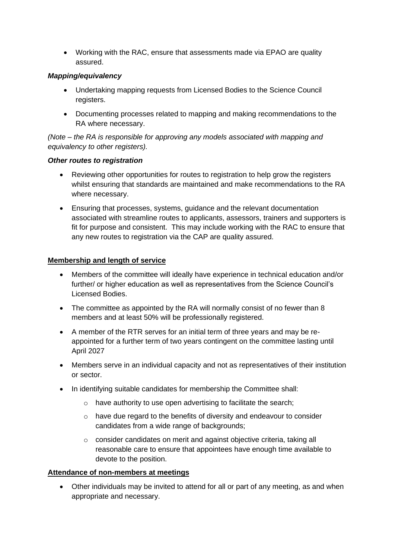• Working with the RAC, ensure that assessments made via EPAO are quality assured.

# *Mapping/equivalency*

- Undertaking mapping requests from Licensed Bodies to the Science Council registers.
- Documenting processes related to mapping and making recommendations to the RA where necessary.

*(Note – the RA is responsible for approving any models associated with mapping and equivalency to other registers).*

## *Other routes to registration*

- Reviewing other opportunities for routes to registration to help grow the registers whilst ensuring that standards are maintained and make recommendations to the RA where necessary.
- Ensuring that processes, systems, guidance and the relevant documentation associated with streamline routes to applicants, assessors, trainers and supporters is fit for purpose and consistent. This may include working with the RAC to ensure that any new routes to registration via the CAP are quality assured.

## **Membership and length of service**

- Members of the committee will ideally have experience in technical education and/or further/ or higher education as well as representatives from the Science Council's Licensed Bodies.
- The committee as appointed by the RA will normally consist of no fewer than 8 members and at least 50% will be professionally registered.
- A member of the RTR serves for an initial term of three years and may be reappointed for a further term of two years contingent on the committee lasting until April 2027
- Members serve in an individual capacity and not as representatives of their institution or sector.
- In identifying suitable candidates for membership the Committee shall:
	- o have authority to use open advertising to facilitate the search;
	- o have due regard to the benefits of diversity and endeavour to consider candidates from a wide range of backgrounds;
	- o consider candidates on merit and against objective criteria, taking all reasonable care to ensure that appointees have enough time available to devote to the position.

## **Attendance of non-members at meetings**

• Other individuals may be invited to attend for all or part of any meeting, as and when appropriate and necessary.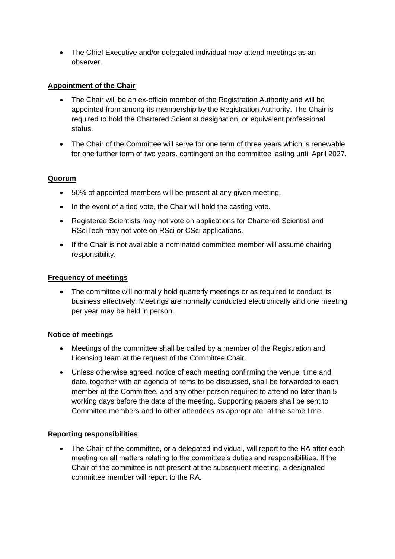• The Chief Executive and/or delegated individual may attend meetings as an observer.

# **Appointment of the Chair**

- The Chair will be an ex-officio member of the Registration Authority and will be appointed from among its membership by the Registration Authority. The Chair is required to hold the Chartered Scientist designation, or equivalent professional status.
- The Chair of the Committee will serve for one term of three years which is renewable for one further term of two years. contingent on the committee lasting until April 2027.

## **Quorum**

- 50% of appointed members will be present at any given meeting.
- In the event of a tied vote, the Chair will hold the casting vote.
- Registered Scientists may not vote on applications for Chartered Scientist and RSciTech may not vote on RSci or CSci applications.
- If the Chair is not available a nominated committee member will assume chairing responsibility.

## **Frequency of meetings**

• The committee will normally hold quarterly meetings or as required to conduct its business effectively. Meetings are normally conducted electronically and one meeting per year may be held in person.

## **Notice of meetings**

- Meetings of the committee shall be called by a member of the Registration and Licensing team at the request of the Committee Chair.
- Unless otherwise agreed, notice of each meeting confirming the venue, time and date, together with an agenda of items to be discussed, shall be forwarded to each member of the Committee, and any other person required to attend no later than 5 working days before the date of the meeting. Supporting papers shall be sent to Committee members and to other attendees as appropriate, at the same time.

## **Reporting responsibilities**

• The Chair of the committee, or a delegated individual, will report to the RA after each meeting on all matters relating to the committee's duties and responsibilities. If the Chair of the committee is not present at the subsequent meeting, a designated committee member will report to the RA.